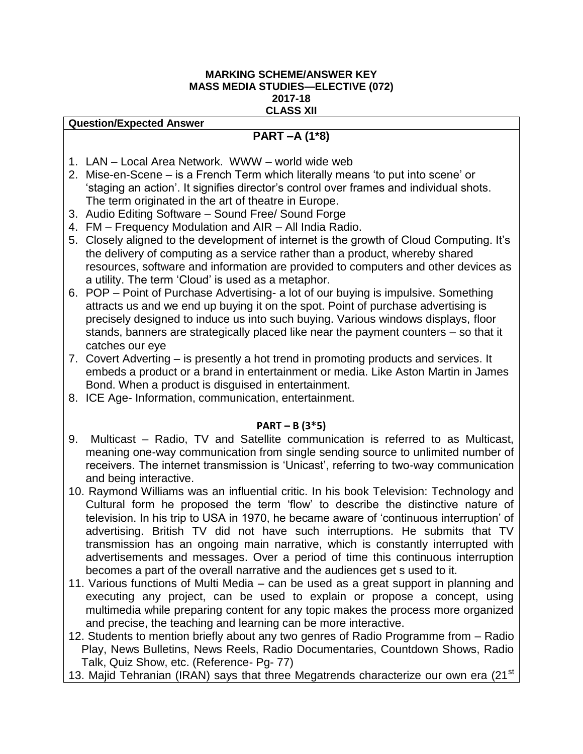#### **MARKING SCHEME/ANSWER KEY MASS MEDIA STUDIES—ELECTIVE (072) 2017-18 CLASS XII**

#### **Question/Expected Answer**

# **PART –A (1\*8)**

- 1. LAN Local Area Network. WWW world wide web
- 2. Mise-en-Scene is a French Term which literally means 'to put into scene' or 'staging an action'. It signifies director's control over frames and individual shots. The term originated in the art of theatre in Europe.
- 3. Audio Editing Software Sound Free/ Sound Forge
- 4. FM Frequency Modulation and AIR All India Radio.
- 5. Closely aligned to the development of internet is the growth of Cloud Computing. It's the delivery of computing as a service rather than a product, whereby shared resources, software and information are provided to computers and other devices as a utility. The term 'Cloud' is used as a metaphor.
- 6. POP Point of Purchase Advertising- a lot of our buying is impulsive. Something attracts us and we end up buying it on the spot. Point of purchase advertising is precisely designed to induce us into such buying. Various windows displays, floor stands, banners are strategically placed like near the payment counters – so that it catches our eye
- 7. Covert Adverting is presently a hot trend in promoting products and services. It embeds a product or a brand in entertainment or media. Like Aston Martin in James Bond. When a product is disguised in entertainment.
- 8. ICE Age- Information, communication, entertainment.

## **PART – B (3\*5)**

- 9. Multicast Radio, TV and Satellite communication is referred to as Multicast, meaning one-way communication from single sending source to unlimited number of receivers. The internet transmission is 'Unicast', referring to two-way communication and being interactive.
- 10. Raymond Williams was an influential critic. In his book Television: Technology and Cultural form he proposed the term 'flow' to describe the distinctive nature of television. In his trip to USA in 1970, he became aware of 'continuous interruption' of advertising. British TV did not have such interruptions. He submits that TV transmission has an ongoing main narrative, which is constantly interrupted with advertisements and messages. Over a period of time this continuous interruption becomes a part of the overall narrative and the audiences get s used to it.
- 11. Various functions of Multi Media can be used as a great support in planning and executing any project, can be used to explain or propose a concept, using multimedia while preparing content for any topic makes the process more organized and precise, the teaching and learning can be more interactive.
- 12. Students to mention briefly about any two genres of Radio Programme from Radio Play, News Bulletins, News Reels, Radio Documentaries, Countdown Shows, Radio Talk, Quiz Show, etc. (Reference- Pg- 77)
- 13. Majid Tehranian (IRAN) says that three Megatrends characterize our own era (21<sup>st</sup>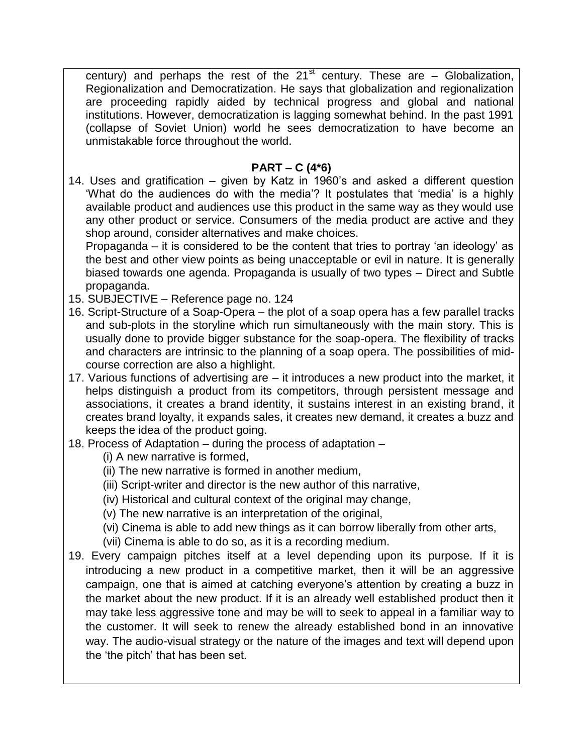century) and perhaps the rest of the  $21<sup>st</sup>$  century. These are  $-$  Globalization, Regionalization and Democratization. He says that globalization and regionalization are proceeding rapidly aided by technical progress and global and national institutions. However, democratization is lagging somewhat behind. In the past 1991 (collapse of Soviet Union) world he sees democratization to have become an unmistakable force throughout the world.

# **PART – C (4\*6)**

14. Uses and gratification – given by Katz in 1960's and asked a different question 'What do the audiences do with the media'? It postulates that 'media' is a highly available product and audiences use this product in the same way as they would use any other product or service. Consumers of the media product are active and they shop around, consider alternatives and make choices.

Propaganda – it is considered to be the content that tries to portray 'an ideology' as the best and other view points as being unacceptable or evil in nature. It is generally biased towards one agenda. Propaganda is usually of two types – Direct and Subtle propaganda.

- 15. SUBJECTIVE Reference page no. 124
- 16. Script-Structure of a Soap-Opera the plot of a soap opera has a few parallel tracks and sub-plots in the storyline which run simultaneously with the main story. This is usually done to provide bigger substance for the soap-opera. The flexibility of tracks and characters are intrinsic to the planning of a soap opera. The possibilities of midcourse correction are also a highlight.
- 17. Various functions of advertising are it introduces a new product into the market, it helps distinguish a product from its competitors, through persistent message and associations, it creates a brand identity, it sustains interest in an existing brand, it creates brand loyalty, it expands sales, it creates new demand, it creates a buzz and keeps the idea of the product going.
- 18. Process of Adaptation during the process of adaptation
	- (i) A new narrative is formed,
	- (ii) The new narrative is formed in another medium,
	- (iii) Script-writer and director is the new author of this narrative,
	- (iv) Historical and cultural context of the original may change,
	- (v) The new narrative is an interpretation of the original,
	- (vi) Cinema is able to add new things as it can borrow liberally from other arts,
	- (vii) Cinema is able to do so, as it is a recording medium.
- 19. Every campaign pitches itself at a level depending upon its purpose. If it is introducing a new product in a competitive market, then it will be an aggressive campaign, one that is aimed at catching everyone's attention by creating a buzz in the market about the new product. If it is an already well established product then it may take less aggressive tone and may be will to seek to appeal in a familiar way to the customer. It will seek to renew the already established bond in an innovative way. The audio-visual strategy or the nature of the images and text will depend upon the 'the pitch' that has been set.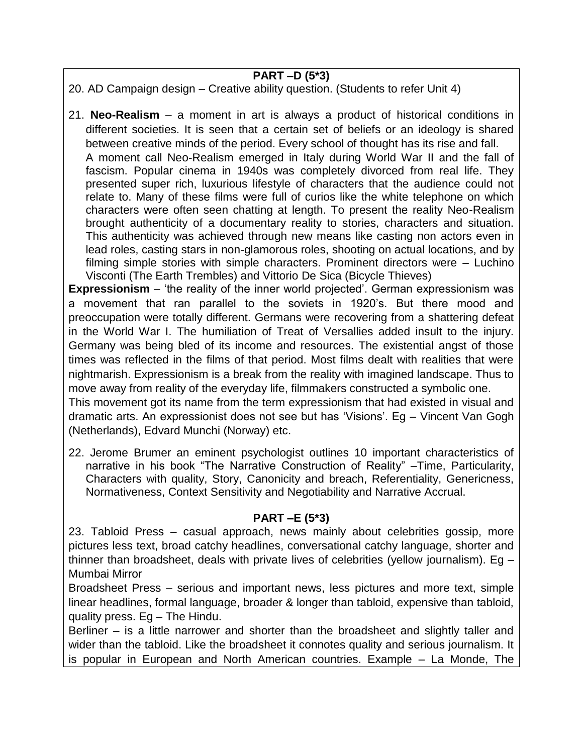# **PART –D (5\*3)**

20. AD Campaign design – Creative ability question. (Students to refer Unit 4)

21. **Neo-Realism** – a moment in art is always a product of historical conditions in different societies. It is seen that a certain set of beliefs or an ideology is shared between creative minds of the period. Every school of thought has its rise and fall. A moment call Neo-Realism emerged in Italy during World War II and the fall of fascism. Popular cinema in 1940s was completely divorced from real life. They presented super rich, luxurious lifestyle of characters that the audience could not relate to. Many of these films were full of curios like the white telephone on which characters were often seen chatting at length. To present the reality Neo-Realism brought authenticity of a documentary reality to stories, characters and situation. This authenticity was achieved through new means like casting non actors even in lead roles, casting stars in non-glamorous roles, shooting on actual locations, and by filming simple stories with simple characters. Prominent directors were – Luchino Visconti (The Earth Trembles) and Vittorio De Sica (Bicycle Thieves)

**Expressionism** – 'the reality of the inner world projected'. German expressionism was a movement that ran parallel to the soviets in 1920's. But there mood and preoccupation were totally different. Germans were recovering from a shattering defeat in the World War I. The humiliation of Treat of Versallies added insult to the injury. Germany was being bled of its income and resources. The existential angst of those times was reflected in the films of that period. Most films dealt with realities that were nightmarish. Expressionism is a break from the reality with imagined landscape. Thus to move away from reality of the everyday life, filmmakers constructed a symbolic one.

This movement got its name from the term expressionism that had existed in visual and dramatic arts. An expressionist does not see but has 'Visions'. Eg – Vincent Van Gogh (Netherlands), Edvard Munchi (Norway) etc.

22. Jerome Brumer an eminent psychologist outlines 10 important characteristics of narrative in his book "The Narrative Construction of Reality" –Time, Particularity, Characters with quality, Story, Canonicity and breach, Referentiality, Genericness, Normativeness, Context Sensitivity and Negotiability and Narrative Accrual.

## **PART –E (5\*3)**

23. Tabloid Press – casual approach, news mainly about celebrities gossip, more pictures less text, broad catchy headlines, conversational catchy language, shorter and thinner than broadsheet, deals with private lives of celebrities (yellow journalism). Eg – Mumbai Mirror

Broadsheet Press – serious and important news, less pictures and more text, simple linear headlines, formal language, broader & longer than tabloid, expensive than tabloid, quality press. Eg – The Hindu.

Berliner – is a little narrower and shorter than the broadsheet and slightly taller and wider than the tabloid. Like the broadsheet it connotes quality and serious journalism. It is popular in European and North American countries. Example – La Monde, The